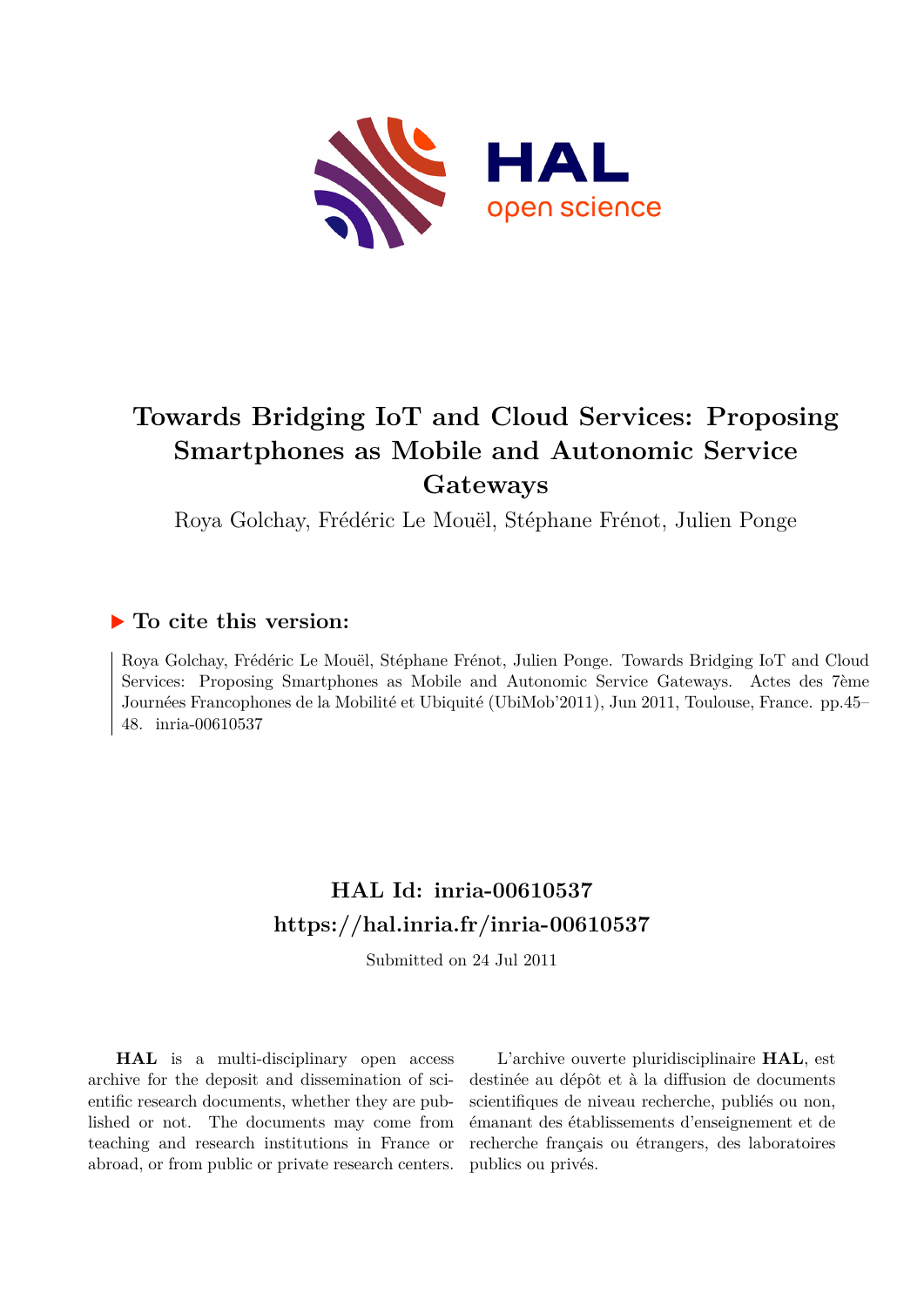

# **Towards Bridging IoT and Cloud Services: Proposing Smartphones as Mobile and Autonomic Service Gateways**

Roya Golchay, Frédéric Le Mouël, Stéphane Frénot, Julien Ponge

## **To cite this version:**

Roya Golchay, Frédéric Le Mouël, Stéphane Frénot, Julien Ponge. Towards Bridging IoT and Cloud Services: Proposing Smartphones as Mobile and Autonomic Service Gateways. Actes des 7ème Journées Francophones de la Mobilité et Ubiquité (UbiMob'2011), Jun 2011, Toulouse, France. pp.45– 48. inria-00610537

## **HAL Id: inria-00610537 <https://hal.inria.fr/inria-00610537>**

Submitted on 24 Jul 2011

**HAL** is a multi-disciplinary open access archive for the deposit and dissemination of scientific research documents, whether they are published or not. The documents may come from teaching and research institutions in France or abroad, or from public or private research centers.

L'archive ouverte pluridisciplinaire **HAL**, est destinée au dépôt et à la diffusion de documents scientifiques de niveau recherche, publiés ou non, émanant des établissements d'enseignement et de recherche français ou étrangers, des laboratoires publics ou privés.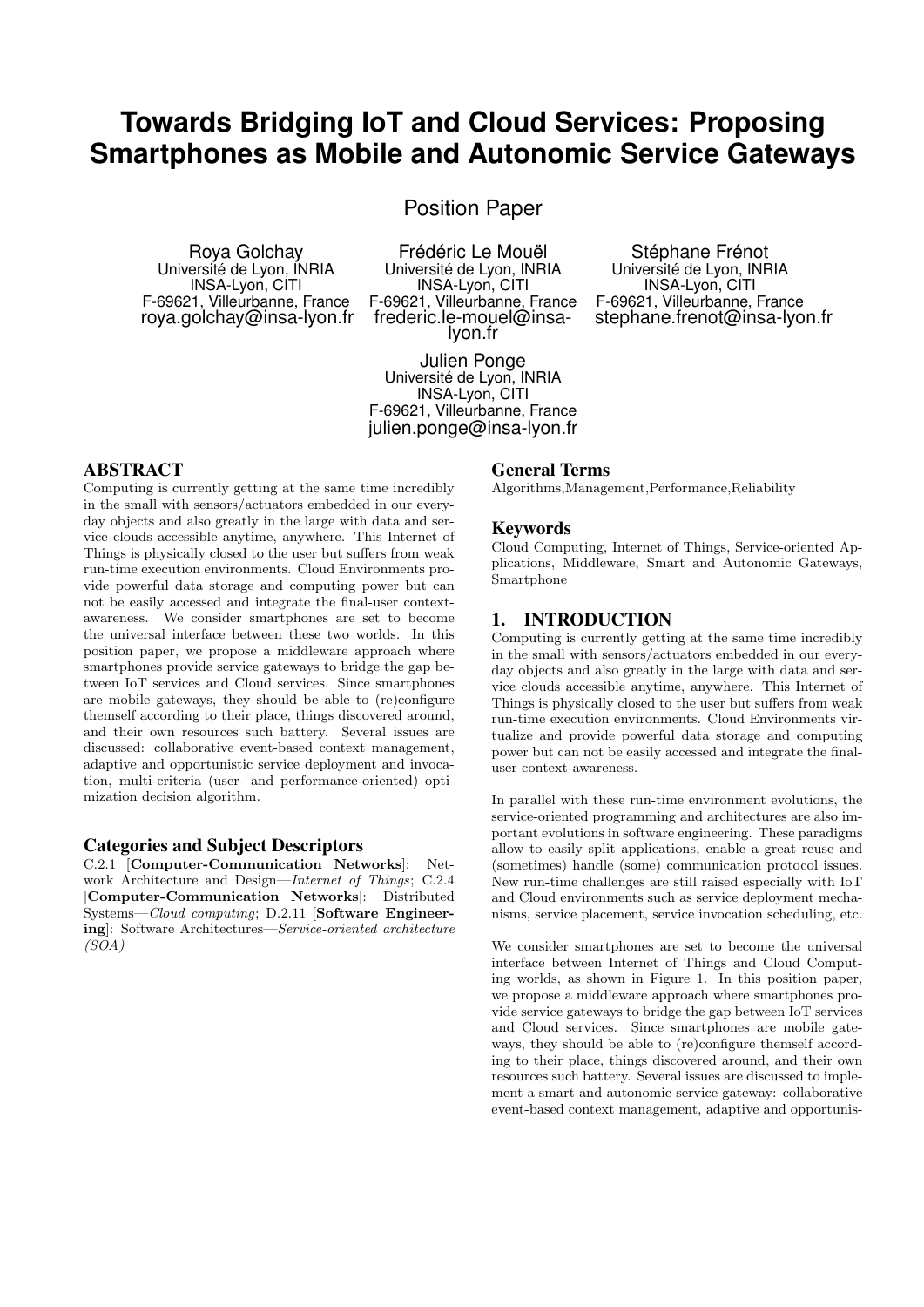## **Towards Bridging IoT and Cloud Services: Proposing Smartphones as Mobile and Autonomic Service Gateways**

Position Paper

Roya Golchay Université de Lyon, INRIA INSA-Lyon, CITI F-69621, Villeurbanne, France roya.golchay@insa-lyon.fr

Frédéric Le Mouël Université de Lyon, INRIA INSA-Lyon, CITI F-69621, Villeurbanne, France frederic.le-mouel@insalyon.fr

Julien Ponge Université de Lyon, INRIA INSA-Lyon, CITI F-69621, Villeurbanne, France julien.ponge@insa-lyon.fr

## ABSTRACT

Computing is currently getting at the same time incredibly in the small with sensors/actuators embedded in our everyday objects and also greatly in the large with data and service clouds accessible anytime, anywhere. This Internet of Things is physically closed to the user but suffers from weak run-time execution environments. Cloud Environments provide powerful data storage and computing power but can not be easily accessed and integrate the final-user contextawareness. We consider smartphones are set to become the universal interface between these two worlds. In this position paper, we propose a middleware approach where smartphones provide service gateways to bridge the gap between IoT services and Cloud services. Since smartphones are mobile gateways, they should be able to (re)configure themself according to their place, things discovered around, and their own resources such battery. Several issues are discussed: collaborative event-based context management, adaptive and opportunistic service deployment and invocation, multi-criteria (user- and performance-oriented) optimization decision algorithm.

### Categories and Subject Descriptors

C.2.1 [Computer-Communication Networks]: Network Architecture and Design—Internet of Things; C.2.4 [Computer-Communication Networks]: Distributed Systems—Cloud computing; D.2.11 [Software Engineering]: Software Architectures—Service-oriented architecture  $(SOA)$ 

#### General Terms

Algorithms,Management,Performance,Reliability

#### Keywords

Cloud Computing, Internet of Things, Service-oriented Applications, Middleware, Smart and Autonomic Gateways, Smartphone

Stéphane Frénot Université de Lyon, INRIA INSA-Lyon, CITI F-69621, Villeurbanne, France stephane.frenot@insa-lyon.fr

### 1. INTRODUCTION

Computing is currently getting at the same time incredibly in the small with sensors/actuators embedded in our everyday objects and also greatly in the large with data and service clouds accessible anytime, anywhere. This Internet of Things is physically closed to the user but suffers from weak run-time execution environments. Cloud Environments virtualize and provide powerful data storage and computing power but can not be easily accessed and integrate the finaluser context-awareness.

In parallel with these run-time environment evolutions, the service-oriented programming and architectures are also important evolutions in software engineering. These paradigms allow to easily split applications, enable a great reuse and (sometimes) handle (some) communication protocol issues. New run-time challenges are still raised especially with IoT and Cloud environments such as service deployment mechanisms, service placement, service invocation scheduling, etc.

We consider smartphones are set to become the universal interface between Internet of Things and Cloud Computing worlds, as shown in Figure 1. In this position paper, we propose a middleware approach where smartphones provide service gateways to bridge the gap between IoT services and Cloud services. Since smartphones are mobile gateways, they should be able to (re)configure themself according to their place, things discovered around, and their own resources such battery. Several issues are discussed to implement a smart and autonomic service gateway: collaborative event-based context management, adaptive and opportunis-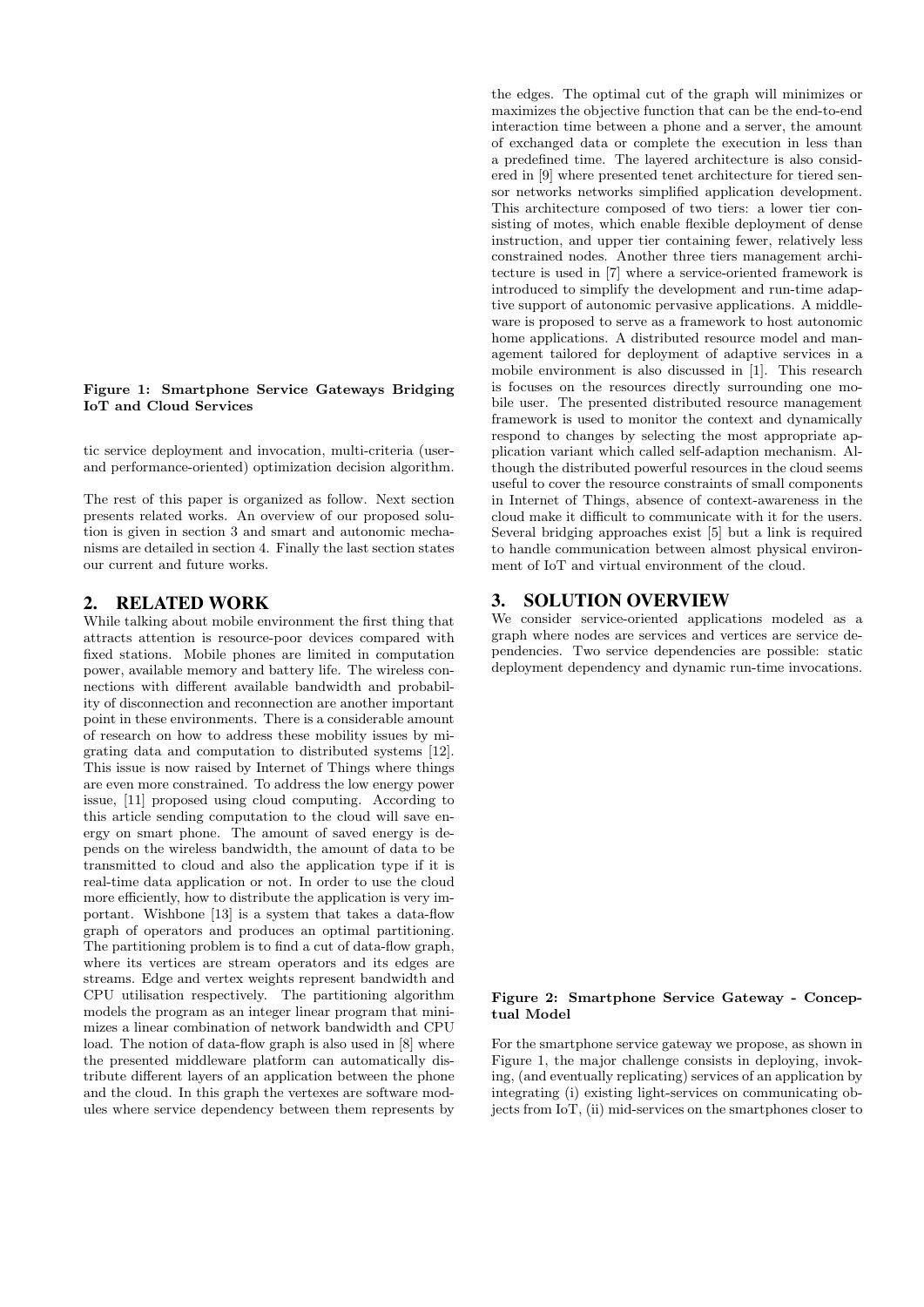#### Figure 1: Smartphone Service Gateways Bridging IoT and Cloud Services

tic service deployment and invocation, multi-criteria (userand performance-oriented) optimization decision algorithm.

The rest of this paper is organized as follow. Next section presents related works. An overview of our proposed solution is given in section 3 and smart and autonomic mechanisms are detailed in section 4. Finally the last section states our current and future works.

### 2. RELATED WORK

While talking about mobile environment the first thing that attracts attention is resource-poor devices compared with fixed stations. Mobile phones are limited in computation power, available memory and battery life. The wireless connections with different available bandwidth and probability of disconnection and reconnection are another important point in these environments. There is a considerable amount of research on how to address these mobility issues by migrating data and computation to distributed systems [12]. This issue is now raised by Internet of Things where things are even more constrained. To address the low energy power issue, [11] proposed using cloud computing. According to this article sending computation to the cloud will save energy on smart phone. The amount of saved energy is depends on the wireless bandwidth, the amount of data to be transmitted to cloud and also the application type if it is real-time data application or not. In order to use the cloud more efficiently, how to distribute the application is very important. Wishbone [13] is a system that takes a data-flow graph of operators and produces an optimal partitioning. The partitioning problem is to find a cut of data-flow graph, where its vertices are stream operators and its edges are streams. Edge and vertex weights represent bandwidth and CPU utilisation respectively. The partitioning algorithm models the program as an integer linear program that minimizes a linear combination of network bandwidth and CPU load. The notion of data-flow graph is also used in [8] where the presented middleware platform can automatically distribute different layers of an application between the phone and the cloud. In this graph the vertexes are software modules where service dependency between them represents by

the edges. The optimal cut of the graph will minimizes or maximizes the objective function that can be the end-to-end interaction time between a phone and a server, the amount of exchanged data or complete the execution in less than a predefined time. The layered architecture is also considered in [9] where presented tenet architecture for tiered sensor networks networks simplified application development. This architecture composed of two tiers: a lower tier consisting of motes, which enable flexible deployment of dense instruction, and upper tier containing fewer, relatively less constrained nodes. Another three tiers management architecture is used in [7] where a service-oriented framework is introduced to simplify the development and run-time adaptive support of autonomic pervasive applications. A middleware is proposed to serve as a framework to host autonomic home applications. A distributed resource model and management tailored for deployment of adaptive services in a mobile environment is also discussed in [1]. This research is focuses on the resources directly surrounding one mobile user. The presented distributed resource management framework is used to monitor the context and dynamically respond to changes by selecting the most appropriate application variant which called self-adaption mechanism. Although the distributed powerful resources in the cloud seems useful to cover the resource constraints of small components in Internet of Things, absence of context-awareness in the cloud make it difficult to communicate with it for the users. Several bridging approaches exist [5] but a link is required to handle communication between almost physical environment of IoT and virtual environment of the cloud.

### 3. SOLUTION OVERVIEW

We consider service-oriented applications modeled as a graph where nodes are services and vertices are service dependencies. Two service dependencies are possible: static deployment dependency and dynamic run-time invocations.

#### Figure 2: Smartphone Service Gateway - Conceptual Model

For the smartphone service gateway we propose, as shown in Figure 1, the major challenge consists in deploying, invoking, (and eventually replicating) services of an application by integrating (i) existing light-services on communicating objects from IoT, (ii) mid-services on the smartphones closer to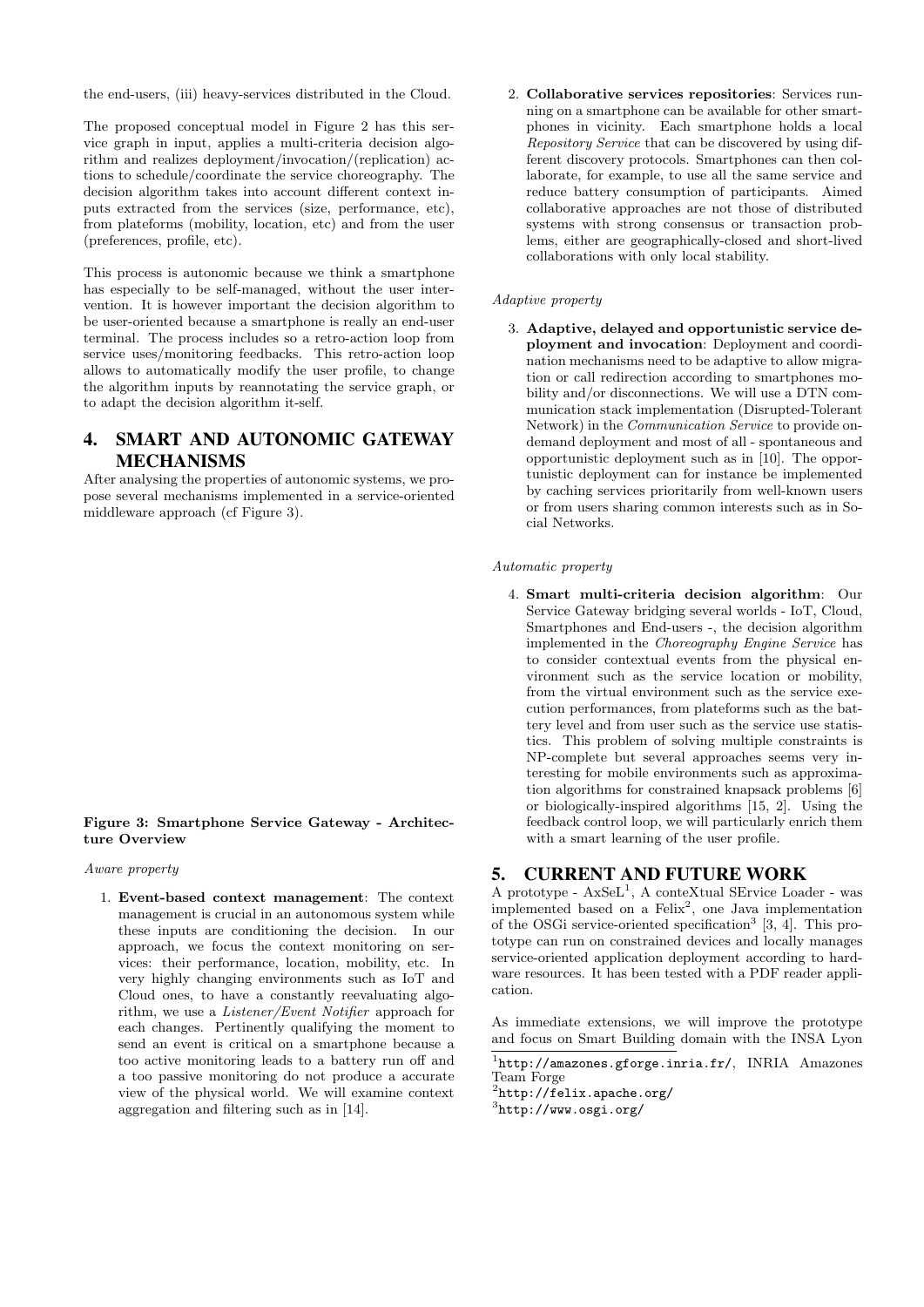the end-users, (iii) heavy-services distributed in the Cloud.

The proposed conceptual model in Figure 2 has this service graph in input, applies a multi-criteria decision algorithm and realizes deployment/invocation/(replication) actions to schedule/coordinate the service choreography. The decision algorithm takes into account different context inputs extracted from the services (size, performance, etc), from plateforms (mobility, location, etc) and from the user (preferences, profile, etc).

This process is autonomic because we think a smartphone has especially to be self-managed, without the user intervention. It is however important the decision algorithm to be user-oriented because a smartphone is really an end-user terminal. The process includes so a retro-action loop from service uses/monitoring feedbacks. This retro-action loop allows to automatically modify the user profile, to change the algorithm inputs by reannotating the service graph, or to adapt the decision algorithm it-self.

## 4. SMART AND AUTONOMIC GATEWAY MECHANISMS

After analysing the properties of autonomic systems, we propose several mechanisms implemented in a service-oriented middleware approach (cf Figure 3).

#### Figure 3: Smartphone Service Gateway - Architecture Overview

#### Aware property

1. Event-based context management: The context management is crucial in an autonomous system while these inputs are conditioning the decision. In our approach, we focus the context monitoring on services: their performance, location, mobility, etc. In very highly changing environments such as IoT and Cloud ones, to have a constantly reevaluating algorithm, we use a Listener/Event Notifier approach for each changes. Pertinently qualifying the moment to send an event is critical on a smartphone because a too active monitoring leads to a battery run off and a too passive monitoring do not produce a accurate view of the physical world. We will examine context aggregation and filtering such as in [14].

2. Collaborative services repositories: Services running on a smartphone can be available for other smartphones in vicinity. Each smartphone holds a local Repository Service that can be discovered by using different discovery protocols. Smartphones can then collaborate, for example, to use all the same service and reduce battery consumption of participants. Aimed collaborative approaches are not those of distributed systems with strong consensus or transaction problems, either are geographically-closed and short-lived collaborations with only local stability.

#### Adaptive property

3. Adaptive, delayed and opportunistic service deployment and invocation: Deployment and coordination mechanisms need to be adaptive to allow migration or call redirection according to smartphones mobility and/or disconnections. We will use a DTN communication stack implementation (Disrupted-Tolerant Network) in the Communication Service to provide ondemand deployment and most of all - spontaneous and opportunistic deployment such as in [10]. The opportunistic deployment can for instance be implemented by caching services prioritarily from well-known users or from users sharing common interests such as in Social Networks.

#### Automatic property

4. Smart multi-criteria decision algorithm: Our Service Gateway bridging several worlds - IoT, Cloud, Smartphones and End-users -, the decision algorithm implemented in the Choreography Engine Service has to consider contextual events from the physical environment such as the service location or mobility, from the virtual environment such as the service execution performances, from plateforms such as the battery level and from user such as the service use statistics. This problem of solving multiple constraints is NP-complete but several approaches seems very interesting for mobile environments such as approximation algorithms for constrained knapsack problems [6] or biologically-inspired algorithms [15, 2]. Using the feedback control loop, we will particularly enrich them with a smart learning of the user profile.

### 5. CURRENT AND FUTURE WORK

A prototype -  $AxSeL<sup>1</sup>$ , A conteXtual SErvice Loader - was implemented based on a Felix<sup>2</sup>, one Java implementation of the OSGi service-oriented specification<sup>3</sup> [3, 4]. This prototype can run on constrained devices and locally manages service-oriented application deployment according to hardware resources. It has been tested with a PDF reader application.

As immediate extensions, we will improve the prototype and focus on Smart Building domain with the INSA Lyon

<sup>&</sup>lt;sup>1</sup>http://amazones.gforge.inria.fr/, INRIA Amazones Team Forge

<sup>2</sup> http://felix.apache.org/

<sup>3</sup> http://www.osgi.org/